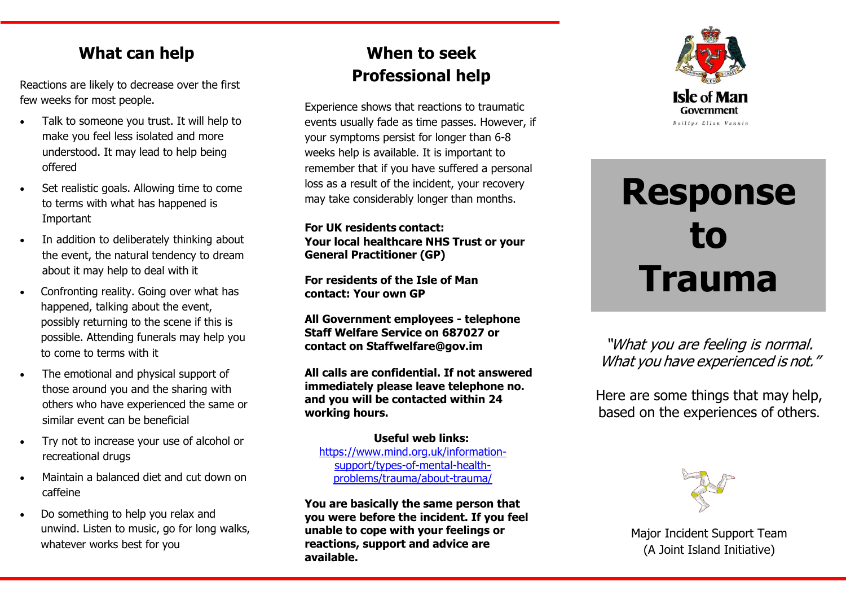#### **What can help**

Reactions are likely to decrease over the first few weeks for most people.

- Talk to someone you trust. It will help to make you feel less isolated and more understood. It may lead to help being offered
- Set realistic goals. Allowing time to come to terms with what has happened is Important
- In addition to deliberately thinking about the event, the natural tendency to dream about it may help to deal with it
- Confronting reality. Going over what has happened, talking about the event, possibly returning to the scene if this is possible. Attending funerals may help you to come to terms with it
- The emotional and physical support of those around you and the sharing with others who have experienced the same or similar event can be beneficial
- Try not to increase your use of alcohol or recreational drugs
- Maintain a balanced diet and cut down on caffeine
- Do something to help you relax and unwind. Listen to music, go for long walks, whatever works best for you

#### **When to seek Professional help**

Experience shows that reactions to traumatic events usually fade as time passes. However, if your symptoms persist for longer than 6-8 weeks help is available. It is important to remember that if you have suffered a personal loss as a result of the incident, your recovery may take considerably longer than months.

**For UK residents contact: Your local healthcare NHS Trust or your General Practitioner (GP)**

**For residents of the Isle of Man contact: Your own GP**

**All Government employees - telephone Staff Welfare Service on 687027 or contact on [Staffwelfare@gov.im](mailto:Staffwelfare@gov.im)**

**All calls are confidential. If not answered immediately please leave telephone no. and you will be contacted within 24 working hours.**

**Useful web links:**  [https://www.mind.org.uk/information](https://www.mind.org.uk/information-support/types-of-mental-health-problems/trauma/about-trauma/)[support/types-of-mental-health](https://www.mind.org.uk/information-support/types-of-mental-health-problems/trauma/about-trauma/)[problems/trauma/about-trauma/](https://www.mind.org.uk/information-support/types-of-mental-health-problems/trauma/about-trauma/)

**You are basically the same person that you were before the incident. If you feel unable to cope with your feelings or reactions, support and advice are available.**



# **Response to Trauma**

"What you are feeling is normal. What you have experienced is not."

Here are some things that may help, based on the experiences of others.



Major Incident Support Team (A Joint Island Initiative)